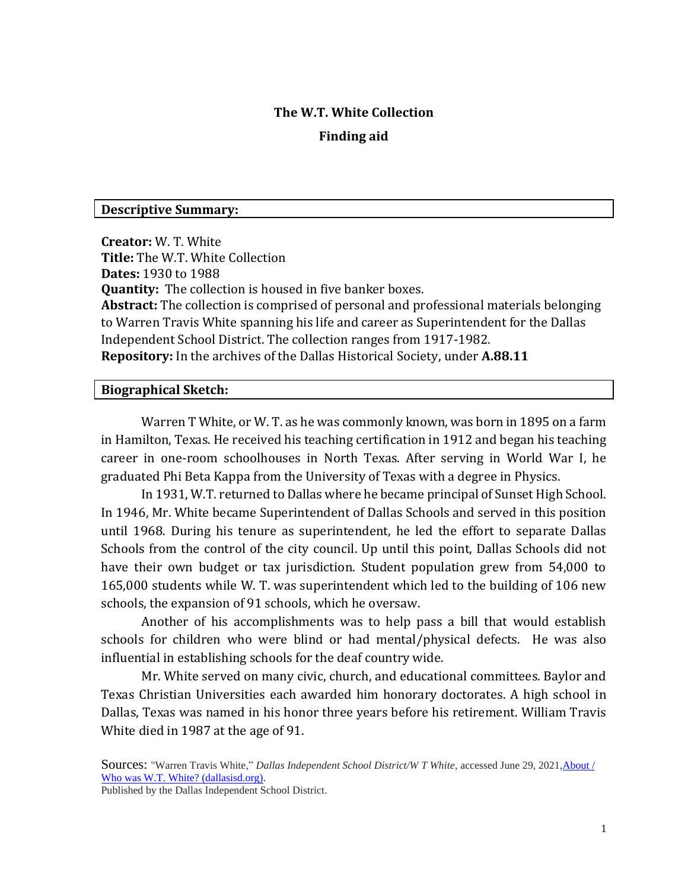#### **The W.T. White Collection**

#### **Finding aid**

#### **Descriptive Summary:**

**Creator:** W. T. White **Title:** The W.T. White Collection **Dates:** 1930 to 1988 **Quantity:** The collection is housed in five banker boxes. **Abstract:** The collection is comprised of personal and professional materials belonging to Warren Travis White spanning his life and career as Superintendent for the Dallas Independent School District. The collection ranges from 1917-1982. **Repository:** In the archives of the Dallas Historical Society, under **A.88.11**

#### **Biographical Sketch:**

Warren T White, or W. T. as he was commonly known, was born in 1895 on a farm in Hamilton, Texas. He received his teaching certification in 1912 and began his teaching career in one-room schoolhouses in North Texas. After serving in World War I, he graduated Phi Beta Kappa from the University of Texas with a degree in Physics.

In 1931, W.T. returned to Dallas where he became principal of Sunset High School. In 1946, Mr. White became Superintendent of Dallas Schools and served in this position until 1968. During his tenure as superintendent, he led the effort to separate Dallas Schools from the control of the city council. Up until this point, Dallas Schools did not have their own budget or tax jurisdiction. Student population grew from 54,000 to 165,000 students while W. T. was superintendent which led to the building of 106 new schools, the expansion of 91 schools, which he oversaw.

Another of his accomplishments was to help pass a bill that would establish schools for children who were blind or had mental/physical defects. He was also influential in establishing schools for the deaf country wide.

Mr. White served on many civic, church, and educational committees. Baylor and Texas Christian Universities each awarded him honorary doctorates. A high school in Dallas, Texas was named in his honor three years before his retirement. William Travis White died in 1987 at the age of 91.

Published by the Dallas Independent School District.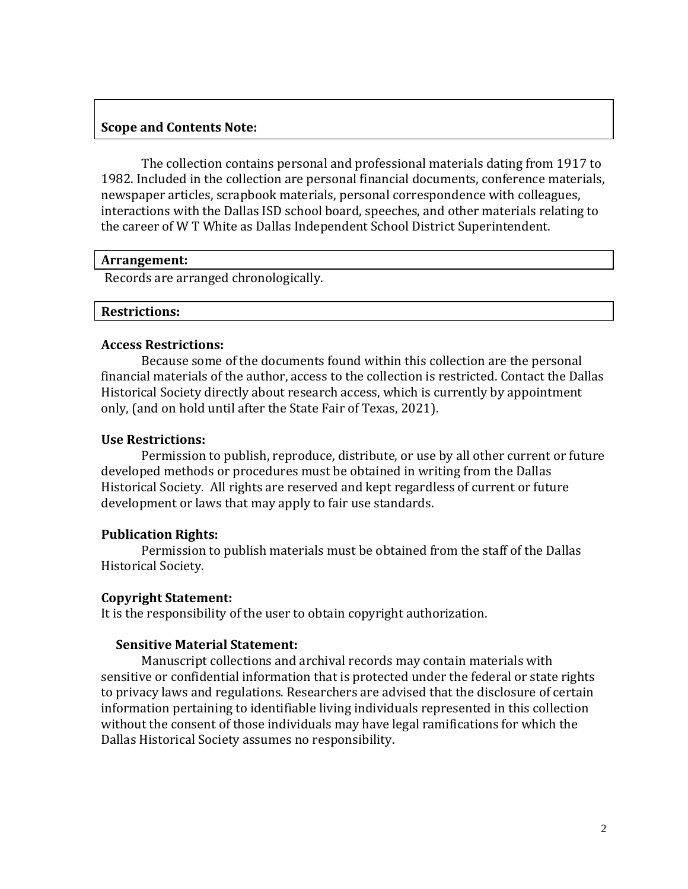## **Scope and Contents Note:**

The collection contains personal and professional materials dating from 1917 to 1982. Included in the collection are personal financial documents, conference materials, newspaper articles, scrapbook materials, personal correspondence with colleagues, interactions with the Dallas ISD school board, speeches, and other materials relating to the career of W T White as Dallas Independent School District Superintendent.

#### **Arrangement:**

Records are arranged chronologically.

## **Restrictions:**

## **Access Restrictions:**

Because some of the documents found within this collection are the personal financial materials of the author, access to the collection is restricted. Contact the Dallas Historical Society directly about research access, which is currently by appointment only, (and on hold until after the State Fair of Texas, 2021).

## **Use Restrictions:**

Permission to publish, reproduce, distribute, or use by all other current or future developed methods or procedures must be obtained in writing from the Dallas Historical Society. All rights are reserved and kept regardless of current or future development or laws that may apply to fair use standards.

## **Publication Rights:**

Permission to publish materials must be obtained from the staff of the Dallas Historical Society.

## **Copyright Statement:**

It is the responsibility of the user to obtain copyright authorization.

## **Sensitive Material Statement:**

Manuscript collections and archival records may contain materials with sensitive or confidential information that is protected under the federal or state rights to privacy laws and regulations. Researchers are advised that the disclosure of certain information pertaining to identifiable living individuals represented in this collection without the consent of those individuals may have legal ramifications for which the Dallas Historical Society assumes no responsibility.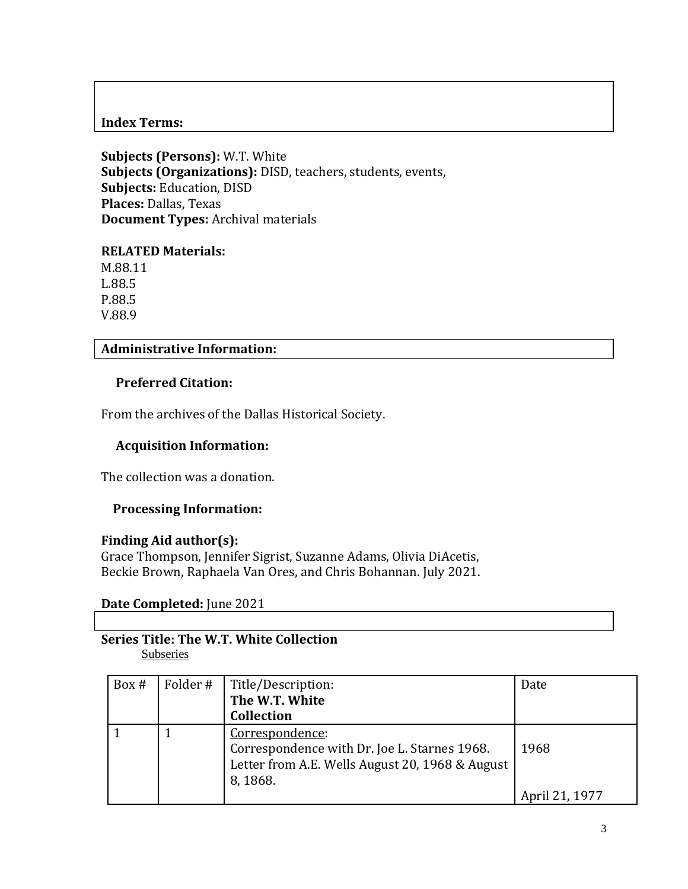## **Index Terms:**

**Subjects (Persons):** W.T. White **Subjects (Organizations):** DISD, teachers, students, events, **Subjects:** Education, DISD **Places:** Dallas, Texas **Document Types:** Archival materials

#### **RELATED Materials:**

M.88.11 L.88.5 P.88.5 V.88.9

## **Administrative Information:**

## **Preferred Citation:**

From the archives of the Dallas Historical Society.

## **Acquisition Information:**

The collection was a donation.

#### **Processing Information:**

#### **Finding Aid author(s):**

Grace Thompson, Jennifer Sigrist, Suzanne Adams, Olivia DiAcetis, Beckie Brown, Raphaela Van Ores, and Chris Bohannan. July 2021.

## **Date Completed:** June 2021

# **Series Title: The W.T. White Collection**

Subseries

| Box # | Folder #   Title/Description:                   | Date           |
|-------|-------------------------------------------------|----------------|
|       | The W.T. White                                  |                |
|       | <b>Collection</b>                               |                |
|       | Correspondence:                                 |                |
|       | Correspondence with Dr. Joe L. Starnes 1968.    | 1968           |
|       | Letter from A.E. Wells August 20, 1968 & August |                |
|       | 8, 1868.                                        |                |
|       |                                                 | April 21, 1977 |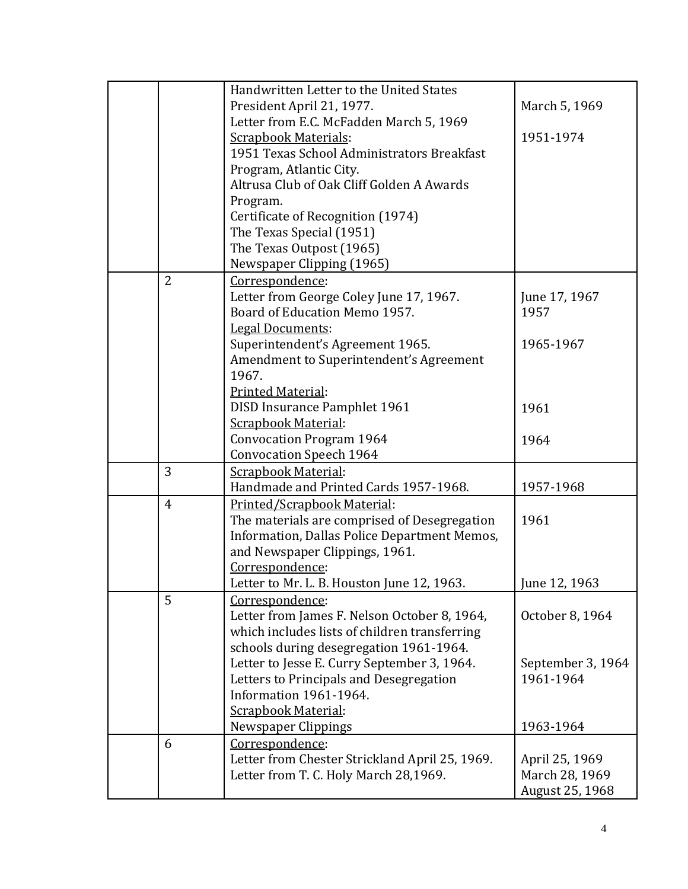|                | Handwritten Letter to the United States        |                   |
|----------------|------------------------------------------------|-------------------|
|                | President April 21, 1977.                      | March 5, 1969     |
|                | Letter from E.C. McFadden March 5, 1969        |                   |
|                | <b>Scrapbook Materials:</b>                    | 1951-1974         |
|                | 1951 Texas School Administrators Breakfast     |                   |
|                | Program, Atlantic City.                        |                   |
|                | Altrusa Club of Oak Cliff Golden A Awards      |                   |
|                |                                                |                   |
|                | Program.                                       |                   |
|                | Certificate of Recognition (1974)              |                   |
|                | The Texas Special (1951)                       |                   |
|                | The Texas Outpost (1965)                       |                   |
|                | Newspaper Clipping (1965)                      |                   |
| $\overline{2}$ | Correspondence:                                |                   |
|                | Letter from George Coley June 17, 1967.        | June 17, 1967     |
|                | Board of Education Memo 1957.                  | 1957              |
|                | <b>Legal Documents:</b>                        |                   |
|                | Superintendent's Agreement 1965.               | 1965-1967         |
|                | Amendment to Superintendent's Agreement        |                   |
|                | 1967.                                          |                   |
|                | Printed Material:                              |                   |
|                | DISD Insurance Pamphlet 1961                   | 1961              |
|                | Scrapbook Material:                            |                   |
|                | <b>Convocation Program 1964</b>                | 1964              |
|                | <b>Convocation Speech 1964</b>                 |                   |
| 3              | <b>Scrapbook Material:</b>                     |                   |
|                | Handmade and Printed Cards 1957-1968.          | 1957-1968         |
| $\overline{4}$ | Printed/Scrapbook Material:                    |                   |
|                | The materials are comprised of Desegregation   | 1961              |
|                | Information, Dallas Police Department Memos,   |                   |
|                | and Newspaper Clippings, 1961.                 |                   |
|                | Correspondence:                                |                   |
|                | Letter to Mr. L. B. Houston June 12, 1963.     | June 12, 1963     |
| 5              | Correspondence:                                |                   |
|                | Letter from James F. Nelson October 8, 1964,   | October 8, 1964   |
|                | which includes lists of children transferring  |                   |
|                | schools during desegregation 1961-1964.        |                   |
|                | Letter to Jesse E. Curry September 3, 1964.    | September 3, 1964 |
|                | Letters to Principals and Desegregation        | 1961-1964         |
|                | Information 1961-1964.                         |                   |
|                | Scrapbook Material:                            |                   |
|                | Newspaper Clippings                            | 1963-1964         |
| 6              | Correspondence:                                |                   |
|                | Letter from Chester Strickland April 25, 1969. | April 25, 1969    |
|                | Letter from T. C. Holy March 28,1969.          | March 28, 1969    |
|                |                                                |                   |
|                |                                                | August 25, 1968   |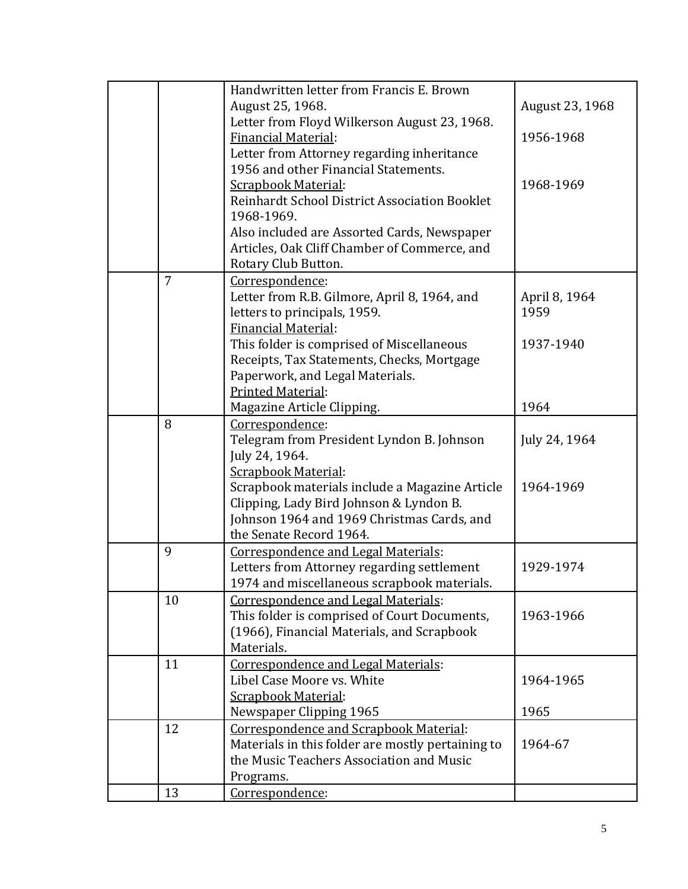|                | Handwritten letter from Francis E. Brown          |                 |
|----------------|---------------------------------------------------|-----------------|
|                | August 25, 1968.                                  | August 23, 1968 |
|                | Letter from Floyd Wilkerson August 23, 1968.      |                 |
|                | Financial Material:                               | 1956-1968       |
|                | Letter from Attorney regarding inheritance        |                 |
|                | 1956 and other Financial Statements.              |                 |
|                | <b>Scrapbook Material:</b>                        | 1968-1969       |
|                | Reinhardt School District Association Booklet     |                 |
|                | 1968-1969.                                        |                 |
|                | Also included are Assorted Cards, Newspaper       |                 |
|                | Articles, Oak Cliff Chamber of Commerce, and      |                 |
|                | Rotary Club Button.                               |                 |
| $\overline{7}$ | Correspondence:                                   |                 |
|                | Letter from R.B. Gilmore, April 8, 1964, and      | April 8, 1964   |
|                | letters to principals, 1959.                      | 1959            |
|                | <b>Financial Material:</b>                        |                 |
|                | This folder is comprised of Miscellaneous         | 1937-1940       |
|                | Receipts, Tax Statements, Checks, Mortgage        |                 |
|                | Paperwork, and Legal Materials.                   |                 |
|                | <b>Printed Material:</b>                          |                 |
|                | Magazine Article Clipping.                        | 1964            |
| 8              | Correspondence:                                   |                 |
|                | Telegram from President Lyndon B. Johnson         | July 24, 1964   |
|                | July 24, 1964.                                    |                 |
|                | <b>Scrapbook Material:</b>                        |                 |
|                | Scrapbook materials include a Magazine Article    | 1964-1969       |
|                | Clipping, Lady Bird Johnson & Lyndon B.           |                 |
|                | Johnson 1964 and 1969 Christmas Cards, and        |                 |
|                | the Senate Record 1964.                           |                 |
| 9              | Correspondence and Legal Materials:               |                 |
|                | Letters from Attorney regarding settlement        | 1929-1974       |
|                | 1974 and miscellaneous scrapbook materials.       |                 |
| 10             | Correspondence and Legal Materials:               |                 |
|                | This folder is comprised of Court Documents,      | 1963-1966       |
|                | (1966), Financial Materials, and Scrapbook        |                 |
|                | Materials.                                        |                 |
| 11             | Correspondence and Legal Materials:               |                 |
|                | Libel Case Moore vs. White                        | 1964-1965       |
|                | <b>Scrapbook Material:</b>                        |                 |
|                | Newspaper Clipping 1965                           | 1965            |
| 12             | Correspondence and Scrapbook Material:            |                 |
|                | Materials in this folder are mostly pertaining to | 1964-67         |
|                | the Music Teachers Association and Music          |                 |
|                | Programs.                                         |                 |
| 13             | Correspondence:                                   |                 |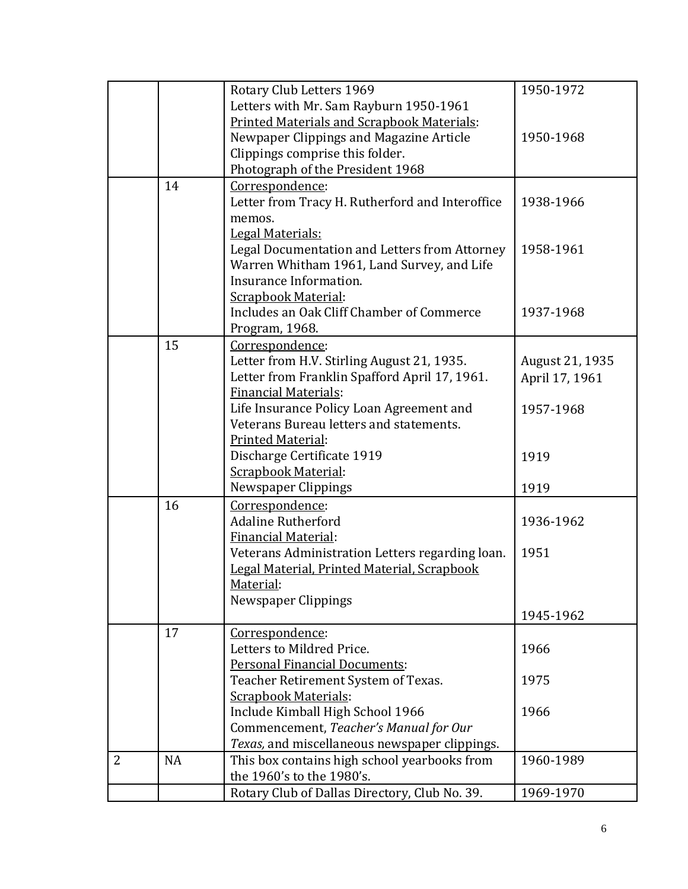|   |           | Rotary Club Letters 1969                          | 1950-1972       |
|---|-----------|---------------------------------------------------|-----------------|
|   |           | Letters with Mr. Sam Rayburn 1950-1961            |                 |
|   |           | <b>Printed Materials and Scrapbook Materials:</b> |                 |
|   |           | Newpaper Clippings and Magazine Article           | 1950-1968       |
|   |           | Clippings comprise this folder.                   |                 |
|   |           | Photograph of the President 1968                  |                 |
|   | 14        | Correspondence:                                   |                 |
|   |           | Letter from Tracy H. Rutherford and Interoffice   | 1938-1966       |
|   |           | memos.                                            |                 |
|   |           | Legal Materials:                                  |                 |
|   |           | Legal Documentation and Letters from Attorney     | 1958-1961       |
|   |           | Warren Whitham 1961, Land Survey, and Life        |                 |
|   |           | Insurance Information.                            |                 |
|   |           | <b>Scrapbook Material:</b>                        |                 |
|   |           | Includes an Oak Cliff Chamber of Commerce         | 1937-1968       |
|   |           | Program, 1968.                                    |                 |
|   | 15        | Correspondence:                                   |                 |
|   |           | Letter from H.V. Stirling August 21, 1935.        | August 21, 1935 |
|   |           | Letter from Franklin Spafford April 17, 1961.     | April 17, 1961  |
|   |           | <b>Financial Materials:</b>                       |                 |
|   |           | Life Insurance Policy Loan Agreement and          | 1957-1968       |
|   |           | Veterans Bureau letters and statements.           |                 |
|   |           | Printed Material:                                 |                 |
|   |           | Discharge Certificate 1919                        | 1919            |
|   |           | <b>Scrapbook Material:</b>                        |                 |
|   |           |                                                   | 1919            |
|   |           | Newspaper Clippings                               |                 |
|   | 16        | Correspondence:                                   |                 |
|   |           | <b>Adaline Rutherford</b>                         | 1936-1962       |
|   |           | <b>Financial Material:</b>                        |                 |
|   |           | Veterans Administration Letters regarding loan.   | 1951            |
|   |           | Legal Material, Printed Material, Scrapbook       |                 |
|   |           | Material:                                         |                 |
|   |           | Newspaper Clippings                               |                 |
|   |           |                                                   | 1945-1962       |
|   | 17        | Correspondence:                                   |                 |
|   |           | Letters to Mildred Price.                         | 1966            |
|   |           | <b>Personal Financial Documents:</b>              |                 |
|   |           | Teacher Retirement System of Texas.               | 1975            |
|   |           | <b>Scrapbook Materials:</b>                       |                 |
|   |           | Include Kimball High School 1966                  | 1966            |
|   |           | Commencement, Teacher's Manual for Our            |                 |
|   |           | Texas, and miscellaneous newspaper clippings.     |                 |
| 2 | <b>NA</b> | This box contains high school yearbooks from      | 1960-1989       |
|   |           | the 1960's to the 1980's.                         |                 |
|   |           | Rotary Club of Dallas Directory, Club No. 39.     | 1969-1970       |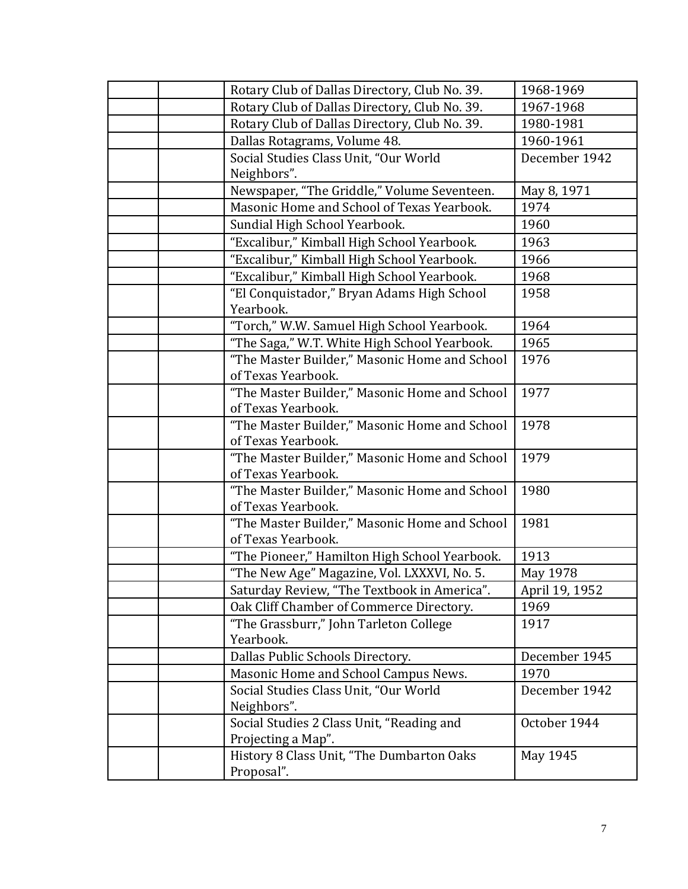| Rotary Club of Dallas Directory, Club No. 39.                       | 1968-1969      |
|---------------------------------------------------------------------|----------------|
| Rotary Club of Dallas Directory, Club No. 39.                       | 1967-1968      |
| Rotary Club of Dallas Directory, Club No. 39.                       | 1980-1981      |
| Dallas Rotagrams, Volume 48.                                        | 1960-1961      |
| Social Studies Class Unit, "Our World                               | December 1942  |
| Neighbors".                                                         |                |
| Newspaper, "The Griddle," Volume Seventeen.                         | May 8, 1971    |
| Masonic Home and School of Texas Yearbook.                          | 1974           |
| Sundial High School Yearbook.                                       | 1960           |
| "Excalibur," Kimball High School Yearbook.                          | 1963           |
| "Excalibur," Kimball High School Yearbook.                          | 1966           |
| "Excalibur," Kimball High School Yearbook.                          | 1968           |
| "El Conquistador," Bryan Adams High School<br>Yearbook.             | 1958           |
| "Torch," W.W. Samuel High School Yearbook.                          | 1964           |
| "The Saga," W.T. White High School Yearbook.                        | 1965           |
| "The Master Builder," Masonic Home and School                       | 1976           |
| of Texas Yearbook.                                                  |                |
| "The Master Builder," Masonic Home and School                       | 1977           |
| of Texas Yearbook.                                                  |                |
| "The Master Builder," Masonic Home and School                       | 1978           |
| of Texas Yearbook.                                                  |                |
| "The Master Builder," Masonic Home and School                       | 1979           |
| of Texas Yearbook.                                                  |                |
| "The Master Builder," Masonic Home and School                       | 1980           |
| of Texas Yearbook.                                                  | 1981           |
| "The Master Builder," Masonic Home and School<br>of Texas Yearbook. |                |
| "The Pioneer," Hamilton High School Yearbook.                       | 1913           |
| "The New Age" Magazine, Vol. LXXXVI, No. 5.                         | May 1978       |
| Saturday Review, "The Textbook in America".                         | April 19, 1952 |
| Oak Cliff Chamber of Commerce Directory.                            | 1969           |
| "The Grassburr," John Tarleton College                              | 1917           |
| Yearbook.                                                           |                |
| Dallas Public Schools Directory.                                    | December 1945  |
| Masonic Home and School Campus News.                                | 1970           |
| Social Studies Class Unit, "Our World                               | December 1942  |
| Neighbors".                                                         |                |
| Social Studies 2 Class Unit, "Reading and                           | October 1944   |
| Projecting a Map".                                                  |                |
| History 8 Class Unit, "The Dumbarton Oaks                           | May 1945       |
| Proposal".                                                          |                |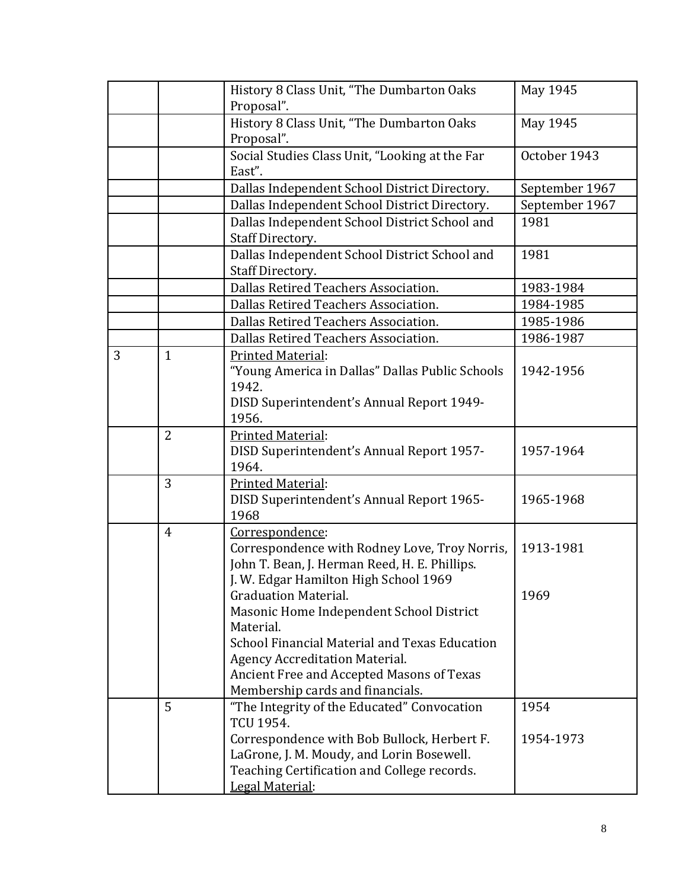|   |                | History 8 Class Unit, "The Dumbarton Oaks                | May 1945       |
|---|----------------|----------------------------------------------------------|----------------|
|   |                | Proposal".                                               |                |
|   |                | History 8 Class Unit, "The Dumbarton Oaks                | May 1945       |
|   |                | Proposal".                                               |                |
|   |                | Social Studies Class Unit, "Looking at the Far<br>East". | October 1943   |
|   |                | Dallas Independent School District Directory.            | September 1967 |
|   |                | Dallas Independent School District Directory.            | September 1967 |
|   |                | Dallas Independent School District School and            | 1981           |
|   |                | Staff Directory.                                         |                |
|   |                | Dallas Independent School District School and            | 1981           |
|   |                | Staff Directory.                                         |                |
|   |                | Dallas Retired Teachers Association.                     | 1983-1984      |
|   |                | Dallas Retired Teachers Association.                     | 1984-1985      |
|   |                | Dallas Retired Teachers Association.                     | 1985-1986      |
|   |                | Dallas Retired Teachers Association.                     | 1986-1987      |
| 3 | $\mathbf{1}$   | <b>Printed Material:</b>                                 |                |
|   |                | "Young America in Dallas" Dallas Public Schools          | 1942-1956      |
|   |                | 1942.                                                    |                |
|   |                | DISD Superintendent's Annual Report 1949-                |                |
|   |                | 1956.                                                    |                |
|   | $\overline{2}$ | Printed Material:                                        |                |
|   |                | DISD Superintendent's Annual Report 1957-                | 1957-1964      |
|   |                | 1964.                                                    |                |
|   | $\overline{3}$ | Printed Material:                                        | 1965-1968      |
|   |                | DISD Superintendent's Annual Report 1965-<br>1968        |                |
|   | $\overline{4}$ | Correspondence:                                          |                |
|   |                | Correspondence with Rodney Love, Troy Norris,            | 1913-1981      |
|   |                | John T. Bean, J. Herman Reed, H. E. Phillips.            |                |
|   |                | J. W. Edgar Hamilton High School 1969                    |                |
|   |                | <b>Graduation Material.</b>                              | 1969           |
|   |                | Masonic Home Independent School District                 |                |
|   |                | Material.                                                |                |
|   |                | School Financial Material and Texas Education            |                |
|   |                | <b>Agency Accreditation Material.</b>                    |                |
|   |                | Ancient Free and Accepted Masons of Texas                |                |
|   |                | Membership cards and financials.                         |                |
|   | 5              | "The Integrity of the Educated" Convocation              | 1954           |
|   |                | TCU 1954.                                                |                |
|   |                | Correspondence with Bob Bullock, Herbert F.              | 1954-1973      |
|   |                | LaGrone, J. M. Moudy, and Lorin Bosewell.                |                |
|   |                | Teaching Certification and College records.              |                |
|   |                | Legal Material:                                          |                |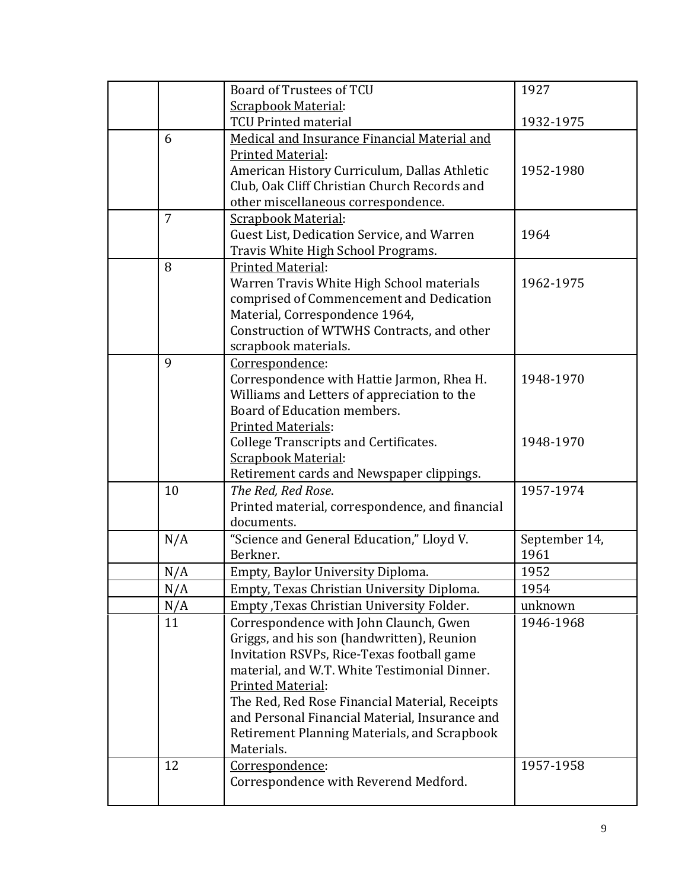|                | Board of Trustees of TCU                                           | 1927          |
|----------------|--------------------------------------------------------------------|---------------|
|                | <b>Scrapbook Material:</b>                                         |               |
|                | <b>TCU Printed material</b>                                        | 1932-1975     |
| 6              | Medical and Insurance Financial Material and                       |               |
|                | <b>Printed Material:</b>                                           |               |
|                | American History Curriculum, Dallas Athletic                       | 1952-1980     |
|                | Club, Oak Cliff Christian Church Records and                       |               |
|                | other miscellaneous correspondence.                                |               |
| $\overline{7}$ | <b>Scrapbook Material:</b>                                         |               |
|                | Guest List, Dedication Service, and Warren                         | 1964          |
|                | Travis White High School Programs.                                 |               |
| 8              | <b>Printed Material:</b>                                           |               |
|                | Warren Travis White High School materials                          | 1962-1975     |
|                | comprised of Commencement and Dedication                           |               |
|                | Material, Correspondence 1964,                                     |               |
|                | Construction of WTWHS Contracts, and other<br>scrapbook materials. |               |
| 9              | Correspondence:                                                    |               |
|                | Correspondence with Hattie Jarmon, Rhea H.                         | 1948-1970     |
|                | Williams and Letters of appreciation to the                        |               |
|                | Board of Education members.                                        |               |
|                | <b>Printed Materials:</b>                                          |               |
|                | <b>College Transcripts and Certificates.</b>                       | 1948-1970     |
|                | <b>Scrapbook Material:</b>                                         |               |
|                | Retirement cards and Newspaper clippings.                          |               |
| 10             | The Red, Red Rose.                                                 | 1957-1974     |
|                | Printed material, correspondence, and financial                    |               |
|                | documents.                                                         |               |
| N/A            | "Science and General Education," Lloyd V.                          | September 14, |
|                | Berkner.                                                           | 1961          |
| N/A            | Empty, Baylor University Diploma.                                  | 1952          |
| N/A            | Empty, Texas Christian University Diploma.                         | 1954          |
| N/A            | Empty , Texas Christian University Folder.                         | unknown       |
| 11             | Correspondence with John Claunch, Gwen                             | 1946-1968     |
|                | Griggs, and his son (handwritten), Reunion                         |               |
|                | Invitation RSVPs, Rice-Texas football game                         |               |
|                | material, and W.T. White Testimonial Dinner.                       |               |
|                | Printed Material:                                                  |               |
|                | The Red, Red Rose Financial Material, Receipts                     |               |
|                | and Personal Financial Material, Insurance and                     |               |
|                | Retirement Planning Materials, and Scrapbook<br>Materials.         |               |
| 12             | Correspondence:                                                    | 1957-1958     |
|                | Correspondence with Reverend Medford.                              |               |
|                |                                                                    |               |
|                |                                                                    |               |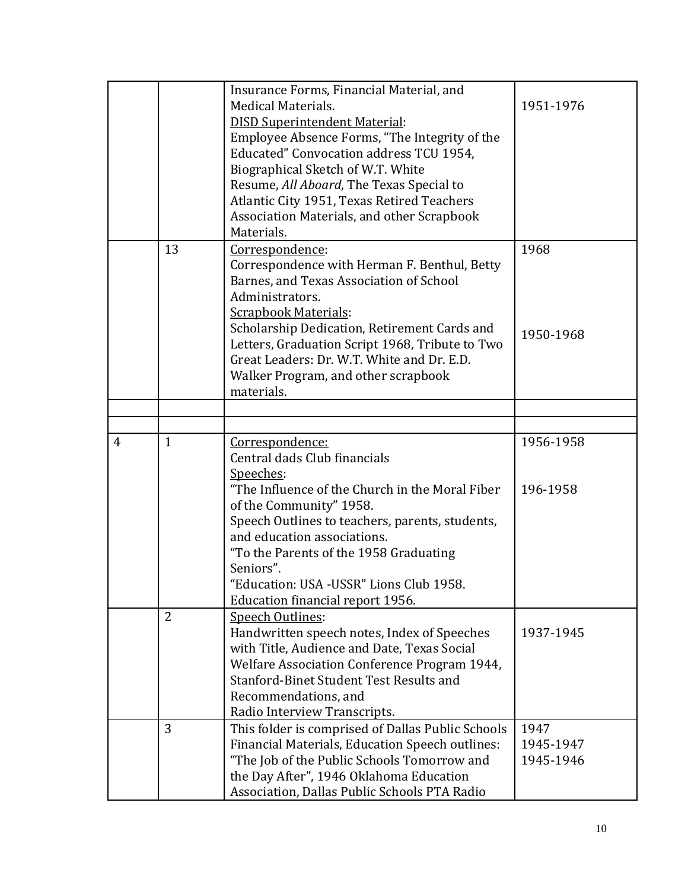|                |                                | Insurance Forms, Financial Material, and<br><b>Medical Materials.</b><br><b>DISD Superintendent Material:</b><br>Employee Absence Forms, "The Integrity of the<br>Educated" Convocation address TCU 1954,<br>Biographical Sketch of W.T. White<br>Resume, All Aboard, The Texas Special to<br>Atlantic City 1951, Texas Retired Teachers<br>Association Materials, and other Scrapbook<br>Materials. | 1951-1976                      |
|----------------|--------------------------------|------------------------------------------------------------------------------------------------------------------------------------------------------------------------------------------------------------------------------------------------------------------------------------------------------------------------------------------------------------------------------------------------------|--------------------------------|
|                | 13                             | Correspondence:<br>Correspondence with Herman F. Benthul, Betty<br>Barnes, and Texas Association of School<br>Administrators.<br><b>Scrapbook Materials:</b><br>Scholarship Dedication, Retirement Cards and<br>Letters, Graduation Script 1968, Tribute to Two<br>Great Leaders: Dr. W.T. White and Dr. E.D.<br>Walker Program, and other scrapbook<br>materials.                                   | 1968<br>1950-1968              |
|                |                                |                                                                                                                                                                                                                                                                                                                                                                                                      |                                |
|                |                                |                                                                                                                                                                                                                                                                                                                                                                                                      |                                |
| $\overline{4}$ | $\mathbf{1}$<br>$\overline{2}$ | Correspondence:<br>Central dads Club financials<br>Speeches:<br>"The Influence of the Church in the Moral Fiber"<br>of the Community" 1958.<br>Speech Outlines to teachers, parents, students,<br>and education associations.<br>"To the Parents of the 1958 Graduating<br>Seniors".<br>"Education: USA -USSR" Lions Club 1958.<br>Education financial report 1956.                                  | 1956-1958<br>196-1958          |
|                |                                | Speech Outlines:<br>Handwritten speech notes, Index of Speeches<br>with Title, Audience and Date, Texas Social<br>Welfare Association Conference Program 1944,<br>Stanford-Binet Student Test Results and<br>Recommendations, and<br>Radio Interview Transcripts.                                                                                                                                    | 1937-1945                      |
|                | 3                              | This folder is comprised of Dallas Public Schools<br>Financial Materials, Education Speech outlines:<br>"The Job of the Public Schools Tomorrow and<br>the Day After", 1946 Oklahoma Education<br>Association, Dallas Public Schools PTA Radio                                                                                                                                                       | 1947<br>1945-1947<br>1945-1946 |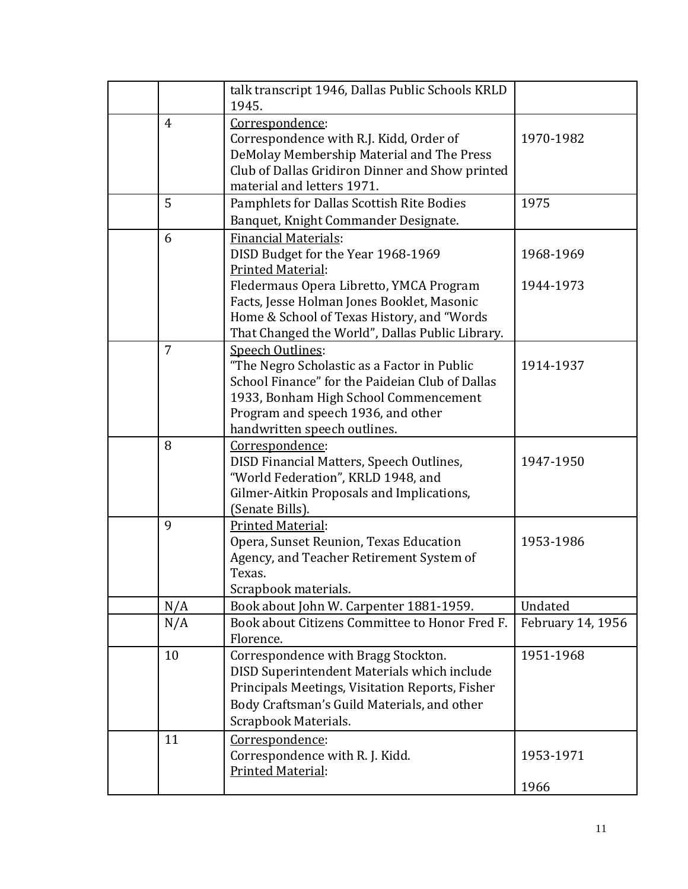|                | talk transcript 1946, Dallas Public Schools KRLD<br>1945. |                   |
|----------------|-----------------------------------------------------------|-------------------|
| 4              | Correspondence:                                           |                   |
|                | Correspondence with R.J. Kidd, Order of                   | 1970-1982         |
|                | DeMolay Membership Material and The Press                 |                   |
|                | Club of Dallas Gridiron Dinner and Show printed           |                   |
|                | material and letters 1971.                                |                   |
| 5              | Pamphlets for Dallas Scottish Rite Bodies                 | 1975              |
|                | Banquet, Knight Commander Designate.                      |                   |
|                |                                                           |                   |
| 6              | Financial Materials:                                      |                   |
|                | DISD Budget for the Year 1968-1969                        | 1968-1969         |
|                | Printed Material:                                         |                   |
|                | Fledermaus Opera Libretto, YMCA Program                   | 1944-1973         |
|                | Facts, Jesse Holman Jones Booklet, Masonic                |                   |
|                | Home & School of Texas History, and "Words                |                   |
|                | That Changed the World", Dallas Public Library.           |                   |
| $\overline{7}$ | Speech Outlines:                                          |                   |
|                | "The Negro Scholastic as a Factor in Public               | 1914-1937         |
|                | School Finance" for the Paideian Club of Dallas           |                   |
|                | 1933, Bonham High School Commencement                     |                   |
|                | Program and speech 1936, and other                        |                   |
|                | handwritten speech outlines.                              |                   |
| 8              | Correspondence:                                           |                   |
|                | DISD Financial Matters, Speech Outlines,                  | 1947-1950         |
|                | "World Federation", KRLD 1948, and                        |                   |
|                | Gilmer-Aitkin Proposals and Implications,                 |                   |
|                | (Senate Bills).                                           |                   |
| 9              | Printed Material:                                         |                   |
|                | Opera, Sunset Reunion, Texas Education                    | 1953-1986         |
|                | Agency, and Teacher Retirement System of                  |                   |
|                | Texas.                                                    |                   |
|                | Scrapbook materials.                                      |                   |
| N/A            | Book about John W. Carpenter 1881-1959.                   | Undated           |
| N/A            | Book about Citizens Committee to Honor Fred F.            | February 14, 1956 |
|                | Florence.                                                 |                   |
| 10             | Correspondence with Bragg Stockton.                       | 1951-1968         |
|                | DISD Superintendent Materials which include               |                   |
|                | Principals Meetings, Visitation Reports, Fisher           |                   |
|                | Body Craftsman's Guild Materials, and other               |                   |
|                | Scrapbook Materials.                                      |                   |
| 11             | Correspondence:                                           |                   |
|                | Correspondence with R. J. Kidd.                           | 1953-1971         |
|                | Printed Material:                                         |                   |
|                |                                                           | 1966              |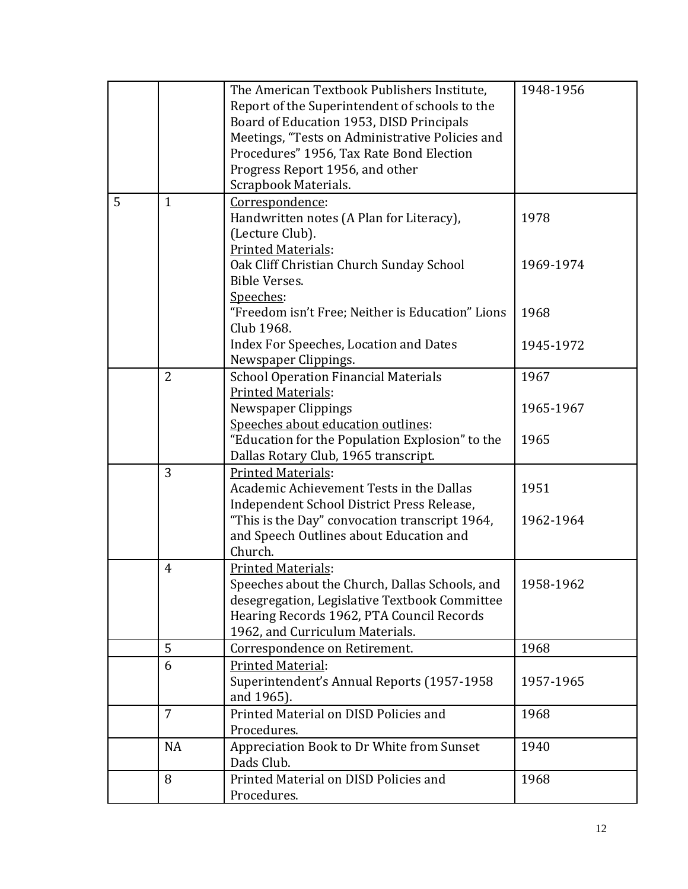|   |                | The American Textbook Publishers Institute,<br>Report of the Superintendent of schools to the<br>Board of Education 1953, DISD Principals<br>Meetings, "Tests on Administrative Policies and<br>Procedures" 1956, Tax Rate Bond Election<br>Progress Report 1956, and other<br>Scrapbook Materials. | 1948-1956 |
|---|----------------|-----------------------------------------------------------------------------------------------------------------------------------------------------------------------------------------------------------------------------------------------------------------------------------------------------|-----------|
| 5 | $\mathbf{1}$   | Correspondence:<br>Handwritten notes (A Plan for Literacy),<br>(Lecture Club).<br><b>Printed Materials:</b>                                                                                                                                                                                         | 1978      |
|   |                | Oak Cliff Christian Church Sunday School<br>Bible Verses.<br>Speeches:                                                                                                                                                                                                                              | 1969-1974 |
|   |                | "Freedom isn't Free; Neither is Education" Lions<br>Club 1968.                                                                                                                                                                                                                                      | 1968      |
|   |                | Index For Speeches, Location and Dates<br>Newspaper Clippings.                                                                                                                                                                                                                                      | 1945-1972 |
|   | $\overline{2}$ | <b>School Operation Financial Materials</b><br><b>Printed Materials:</b>                                                                                                                                                                                                                            | 1967      |
|   |                | <b>Newspaper Clippings</b><br>Speeches about education outlines:                                                                                                                                                                                                                                    | 1965-1967 |
|   |                | "Education for the Population Explosion" to the<br>Dallas Rotary Club, 1965 transcript.                                                                                                                                                                                                             | 1965      |
|   | $\overline{3}$ | <b>Printed Materials:</b><br>Academic Achievement Tests in the Dallas<br>Independent School District Press Release,                                                                                                                                                                                 | 1951      |
|   |                | "This is the Day" convocation transcript 1964,<br>and Speech Outlines about Education and<br>Church.                                                                                                                                                                                                | 1962-1964 |
|   | $\overline{4}$ | <b>Printed Materials:</b><br>Speeches about the Church, Dallas Schools, and<br>desegregation, Legislative Textbook Committee<br>Hearing Records 1962, PTA Council Records<br>1962, and Curriculum Materials.                                                                                        | 1958-1962 |
|   | 5              | Correspondence on Retirement.                                                                                                                                                                                                                                                                       | 1968      |
|   | 6              | <b>Printed Material:</b><br>Superintendent's Annual Reports (1957-1958<br>and 1965).                                                                                                                                                                                                                | 1957-1965 |
|   | $\overline{7}$ | Printed Material on DISD Policies and<br>Procedures.                                                                                                                                                                                                                                                | 1968      |
|   | <b>NA</b>      | Appreciation Book to Dr White from Sunset<br>Dads Club.                                                                                                                                                                                                                                             | 1940      |
|   | 8              | Printed Material on DISD Policies and<br>Procedures.                                                                                                                                                                                                                                                | 1968      |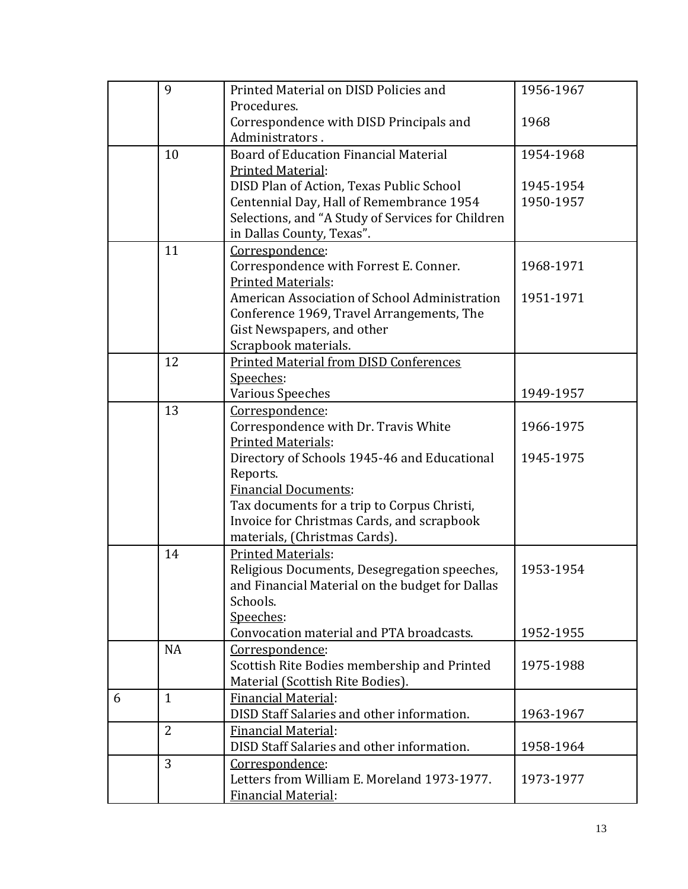|   | 9              | Printed Material on DISD Policies and             | 1956-1967 |
|---|----------------|---------------------------------------------------|-----------|
|   |                | Procedures.                                       |           |
|   |                | Correspondence with DISD Principals and           | 1968      |
|   |                | Administrators.                                   |           |
|   | 10             | <b>Board of Education Financial Material</b>      | 1954-1968 |
|   |                | Printed Material:                                 |           |
|   |                | DISD Plan of Action, Texas Public School          | 1945-1954 |
|   |                | Centennial Day, Hall of Remembrance 1954          | 1950-1957 |
|   |                | Selections, and "A Study of Services for Children |           |
|   |                | in Dallas County, Texas".                         |           |
|   | 11             | Correspondence:                                   |           |
|   |                | Correspondence with Forrest E. Conner.            | 1968-1971 |
|   |                | <b>Printed Materials:</b>                         |           |
|   |                | American Association of School Administration     | 1951-1971 |
|   |                | Conference 1969, Travel Arrangements, The         |           |
|   |                | Gist Newspapers, and other                        |           |
|   |                | Scrapbook materials.                              |           |
|   | 12             | <b>Printed Material from DISD Conferences</b>     |           |
|   |                | Speeches:                                         |           |
|   |                | <b>Various Speeches</b>                           | 1949-1957 |
|   | 13             | Correspondence:                                   |           |
|   |                | Correspondence with Dr. Travis White              | 1966-1975 |
|   |                | <b>Printed Materials:</b>                         |           |
|   |                | Directory of Schools 1945-46 and Educational      | 1945-1975 |
|   |                | Reports.                                          |           |
|   |                | <b>Financial Documents:</b>                       |           |
|   |                | Tax documents for a trip to Corpus Christi,       |           |
|   |                | Invoice for Christmas Cards, and scrapbook        |           |
|   |                | materials, (Christmas Cards).                     |           |
|   | 14             | <b>Printed Materials:</b>                         |           |
|   |                | Religious Documents, Desegregation speeches,      | 1953-1954 |
|   |                | and Financial Material on the budget for Dallas   |           |
|   |                | Schools.                                          |           |
|   |                | Speeches:                                         |           |
|   |                | Convocation material and PTA broadcasts.          | 1952-1955 |
|   | <b>NA</b>      | Correspondence:                                   |           |
|   |                | Scottish Rite Bodies membership and Printed       | 1975-1988 |
|   |                | Material (Scottish Rite Bodies).                  |           |
| 6 | $\mathbf{1}$   | Financial Material:                               |           |
|   |                | DISD Staff Salaries and other information.        | 1963-1967 |
|   | $\overline{2}$ | <b>Financial Material:</b>                        |           |
|   |                | DISD Staff Salaries and other information.        | 1958-1964 |
|   | 3              | Correspondence:                                   |           |
|   |                | Letters from William E. Moreland 1973-1977.       | 1973-1977 |
|   |                | Financial Material:                               |           |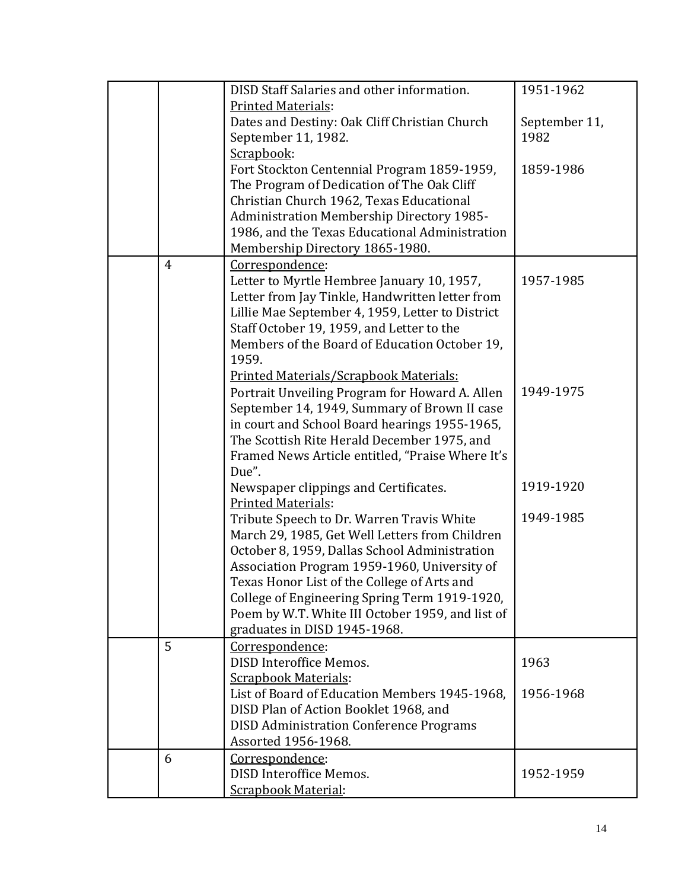|                | DISD Staff Salaries and other information.                                 | 1951-1962             |
|----------------|----------------------------------------------------------------------------|-----------------------|
|                |                                                                            |                       |
|                | <b>Printed Materials:</b><br>Dates and Destiny: Oak Cliff Christian Church |                       |
|                |                                                                            | September 11,<br>1982 |
|                | September 11, 1982.<br>Scrapbook:                                          |                       |
|                |                                                                            | 1859-1986             |
|                | Fort Stockton Centennial Program 1859-1959,                                |                       |
|                | The Program of Dedication of The Oak Cliff                                 |                       |
|                | Christian Church 1962, Texas Educational                                   |                       |
|                | Administration Membership Directory 1985-                                  |                       |
|                | 1986, and the Texas Educational Administration                             |                       |
|                | Membership Directory 1865-1980.                                            |                       |
| $\overline{4}$ | Correspondence:                                                            |                       |
|                | Letter to Myrtle Hembree January 10, 1957,                                 | 1957-1985             |
|                | Letter from Jay Tinkle, Handwritten letter from                            |                       |
|                | Lillie Mae September 4, 1959, Letter to District                           |                       |
|                | Staff October 19, 1959, and Letter to the                                  |                       |
|                | Members of the Board of Education October 19,                              |                       |
|                | 1959.                                                                      |                       |
|                | Printed Materials/Scrapbook Materials:                                     |                       |
|                | Portrait Unveiling Program for Howard A. Allen                             | 1949-1975             |
|                | September 14, 1949, Summary of Brown II case                               |                       |
|                | in court and School Board hearings 1955-1965,                              |                       |
|                | The Scottish Rite Herald December 1975, and                                |                       |
|                | Framed News Article entitled, "Praise Where It's                           |                       |
|                | Due".                                                                      |                       |
|                | Newspaper clippings and Certificates.                                      | 1919-1920             |
|                | <b>Printed Materials:</b>                                                  |                       |
|                | Tribute Speech to Dr. Warren Travis White                                  | 1949-1985             |
|                | March 29, 1985, Get Well Letters from Children                             |                       |
|                | October 8, 1959, Dallas School Administration                              |                       |
|                | Association Program 1959-1960, University of                               |                       |
|                | Texas Honor List of the College of Arts and                                |                       |
|                | College of Engineering Spring Term 1919-1920,                              |                       |
|                | Poem by W.T. White III October 1959, and list of                           |                       |
|                | graduates in DISD 1945-1968.                                               |                       |
| 5              | Correspondence:                                                            |                       |
|                | DISD Interoffice Memos.                                                    | 1963                  |
|                | <b>Scrapbook Materials:</b>                                                |                       |
|                | List of Board of Education Members 1945-1968.                              | 1956-1968             |
|                | DISD Plan of Action Booklet 1968, and                                      |                       |
|                | <b>DISD Administration Conference Programs</b>                             |                       |
|                | Assorted 1956-1968.                                                        |                       |
| 6              | Correspondence:                                                            |                       |
|                | DISD Interoffice Memos.                                                    | 1952-1959             |
|                | <b>Scrapbook Material:</b>                                                 |                       |
|                |                                                                            |                       |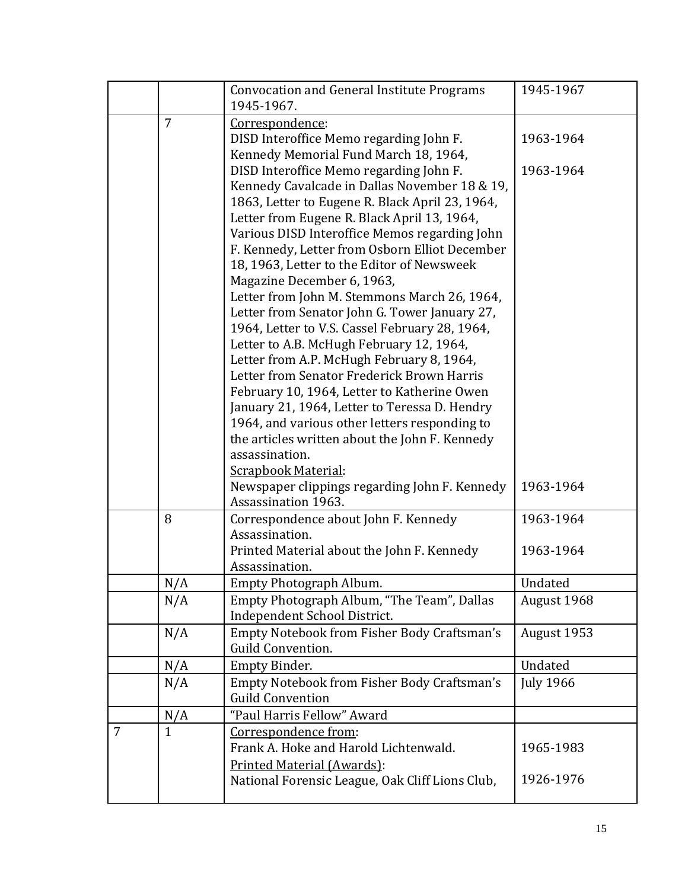|   |                | <b>Convocation and General Institute Programs</b>                                            | 1945-1967              |
|---|----------------|----------------------------------------------------------------------------------------------|------------------------|
|   |                | 1945-1967.                                                                                   |                        |
|   | $\overline{7}$ | Correspondence:                                                                              |                        |
|   |                | DISD Interoffice Memo regarding John F.                                                      | 1963-1964              |
|   |                | Kennedy Memorial Fund March 18, 1964,                                                        |                        |
|   |                | DISD Interoffice Memo regarding John F.                                                      | 1963-1964              |
|   |                | Kennedy Cavalcade in Dallas November 18 & 19,                                                |                        |
|   |                | 1863, Letter to Eugene R. Black April 23, 1964,                                              |                        |
|   |                | Letter from Eugene R. Black April 13, 1964,                                                  |                        |
|   |                | Various DISD Interoffice Memos regarding John                                                |                        |
|   |                | F. Kennedy, Letter from Osborn Elliot December<br>18, 1963, Letter to the Editor of Newsweek |                        |
|   |                | Magazine December 6, 1963,                                                                   |                        |
|   |                | Letter from John M. Stemmons March 26, 1964,                                                 |                        |
|   |                | Letter from Senator John G. Tower January 27,                                                |                        |
|   |                | 1964, Letter to V.S. Cassel February 28, 1964,                                               |                        |
|   |                | Letter to A.B. McHugh February 12, 1964,                                                     |                        |
|   |                | Letter from A.P. McHugh February 8, 1964,                                                    |                        |
|   |                | Letter from Senator Frederick Brown Harris                                                   |                        |
|   |                | February 10, 1964, Letter to Katherine Owen                                                  |                        |
|   |                | January 21, 1964, Letter to Teressa D. Hendry                                                |                        |
|   |                | 1964, and various other letters responding to                                                |                        |
|   |                | the articles written about the John F. Kennedy                                               |                        |
|   |                | assassination.<br><b>Scrapbook Material:</b>                                                 |                        |
|   |                | Newspaper clippings regarding John F. Kennedy                                                | 1963-1964              |
|   |                | <b>Assassination 1963.</b>                                                                   |                        |
|   | 8              | Correspondence about John F. Kennedy                                                         | 1963-1964              |
|   |                | Assassination.                                                                               |                        |
|   |                | Printed Material about the John F. Kennedy                                                   | 1963-1964              |
|   |                | Assassination.                                                                               |                        |
|   | N/A<br>N/A     | Empty Photograph Album.<br>Empty Photograph Album, "The Team", Dallas                        | Undated<br>August 1968 |
|   |                | Independent School District.                                                                 |                        |
|   | N/A            | Empty Notebook from Fisher Body Craftsman's                                                  | August 1953            |
|   |                | Guild Convention.                                                                            |                        |
|   | N/A            | Empty Binder.                                                                                | Undated                |
|   | N/A            | Empty Notebook from Fisher Body Craftsman's                                                  | <b>July 1966</b>       |
|   |                | <b>Guild Convention</b>                                                                      |                        |
|   | N/A            | "Paul Harris Fellow" Award                                                                   |                        |
| 7 | $\mathbf{1}$   | Correspondence from:                                                                         |                        |
|   |                | Frank A. Hoke and Harold Lichtenwald.                                                        | 1965-1983              |
|   |                | Printed Material (Awards):                                                                   |                        |
|   |                | National Forensic League, Oak Cliff Lions Club,                                              | 1926-1976              |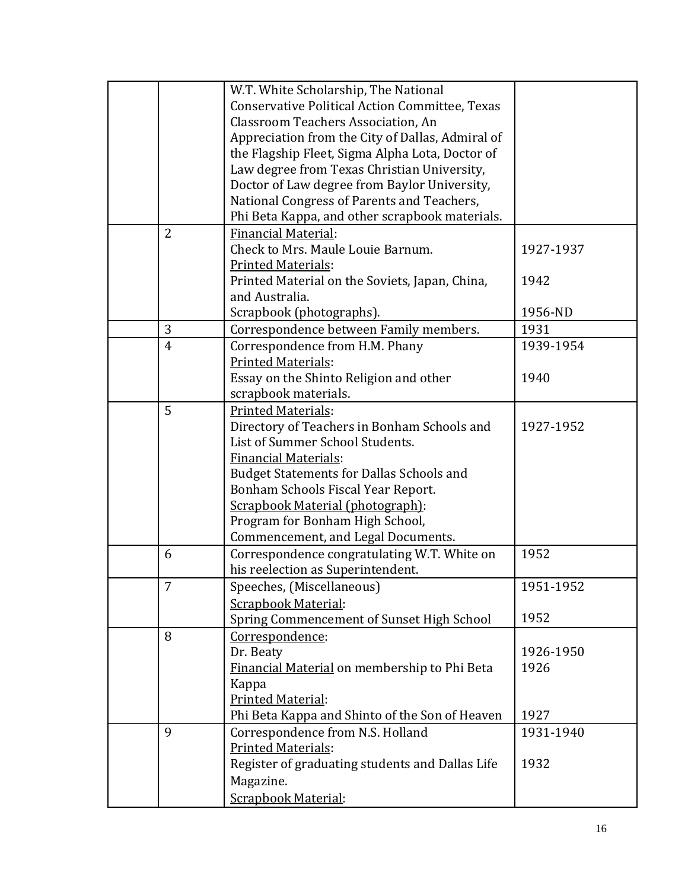|                | W.T. White Scholarship, The National                                             |           |
|----------------|----------------------------------------------------------------------------------|-----------|
|                | Conservative Political Action Committee, Texas                                   |           |
|                | <b>Classroom Teachers Association, An</b>                                        |           |
|                | Appreciation from the City of Dallas, Admiral of                                 |           |
|                | the Flagship Fleet, Sigma Alpha Lota, Doctor of                                  |           |
|                | Law degree from Texas Christian University,                                      |           |
|                | Doctor of Law degree from Baylor University,                                     |           |
|                | National Congress of Parents and Teachers,                                       |           |
|                | Phi Beta Kappa, and other scrapbook materials.                                   |           |
| $\overline{2}$ | <b>Financial Material:</b>                                                       |           |
|                | Check to Mrs. Maule Louie Barnum.                                                | 1927-1937 |
|                | Printed Materials:                                                               |           |
|                | Printed Material on the Soviets, Japan, China,                                   | 1942      |
|                | and Australia.                                                                   |           |
|                | Scrapbook (photographs).                                                         | 1956-ND   |
| 3              | Correspondence between Family members.                                           | 1931      |
| $\overline{4}$ | Correspondence from H.M. Phany                                                   | 1939-1954 |
|                | <b>Printed Materials:</b>                                                        |           |
|                | Essay on the Shinto Religion and other                                           | 1940      |
|                | scrapbook materials.                                                             |           |
| 5              | <b>Printed Materials:</b>                                                        |           |
|                | Directory of Teachers in Bonham Schools and                                      | 1927-1952 |
|                | List of Summer School Students.                                                  |           |
|                | <b>Financial Materials:</b>                                                      |           |
|                | <b>Budget Statements for Dallas Schools and</b>                                  |           |
|                | Bonham Schools Fiscal Year Report.                                               |           |
|                | Scrapbook Material (photograph):                                                 |           |
|                | Program for Bonham High School,                                                  |           |
|                | Commencement, and Legal Documents.                                               |           |
| 6              | Correspondence congratulating W.T. White on<br>his reelection as Superintendent. | 1952      |
|                | Speeches, (Miscellaneous)                                                        | 1951-1952 |
|                | <b>Scrapbook Material:</b>                                                       |           |
|                | Spring Commencement of Sunset High School                                        | 1952      |
| 8              | Correspondence:                                                                  |           |
|                | Dr. Beaty                                                                        | 1926-1950 |
|                | Financial Material on membership to Phi Beta                                     | 1926      |
|                | Kappa                                                                            |           |
|                | <b>Printed Material:</b>                                                         |           |
|                | Phi Beta Kappa and Shinto of the Son of Heaven                                   | 1927      |
| 9              | Correspondence from N.S. Holland                                                 | 1931-1940 |
|                | <b>Printed Materials:</b>                                                        |           |
|                | Register of graduating students and Dallas Life                                  | 1932      |
|                | Magazine.                                                                        |           |
|                | Scrapbook Material:                                                              |           |
|                |                                                                                  |           |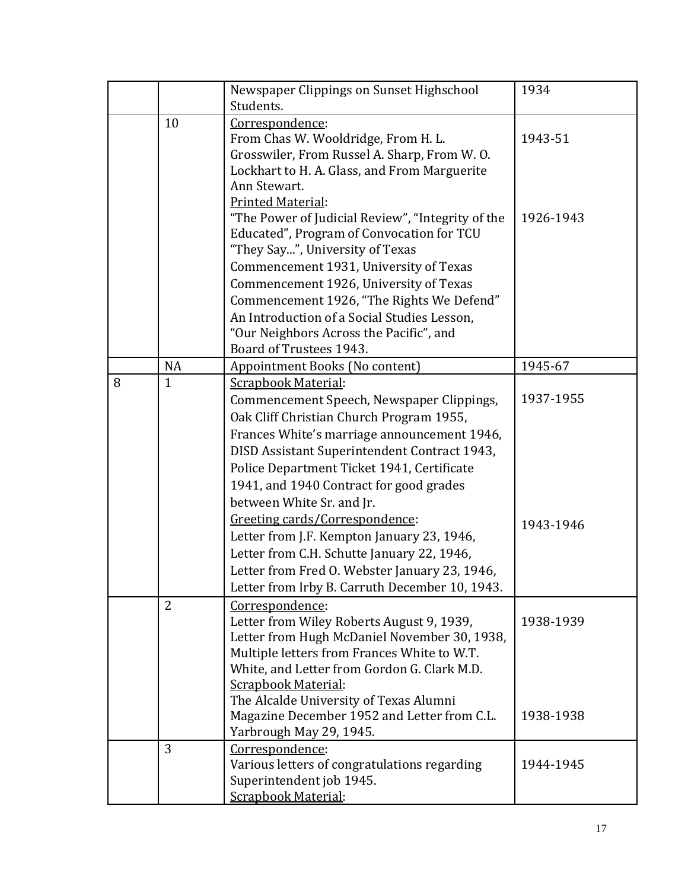|   |                | Newspaper Clippings on Sunset Highschool<br>Students.             | 1934      |
|---|----------------|-------------------------------------------------------------------|-----------|
|   | 10             | Correspondence:                                                   |           |
|   |                | From Chas W. Wooldridge, From H. L.                               | 1943-51   |
|   |                | Grosswiler, From Russel A. Sharp, From W.O.                       |           |
|   |                | Lockhart to H. A. Glass, and From Marguerite                      |           |
|   |                | Ann Stewart.                                                      |           |
|   |                | <b>Printed Material:</b>                                          |           |
|   |                | "The Power of Judicial Review", "Integrity of the                 | 1926-1943 |
|   |                | Educated", Program of Convocation for TCU                         |           |
|   |                | "They Say", University of Texas                                   |           |
|   |                | Commencement 1931, University of Texas                            |           |
|   |                | Commencement 1926, University of Texas                            |           |
|   |                | Commencement 1926, "The Rights We Defend"                         |           |
|   |                | An Introduction of a Social Studies Lesson,                       |           |
|   |                | "Our Neighbors Across the Pacific", and                           |           |
|   |                | Board of Trustees 1943.                                           |           |
|   | <b>NA</b>      | Appointment Books (No content)                                    | 1945-67   |
| 8 | $\mathbf{1}$   | Scrapbook Material:                                               |           |
|   |                | Commencement Speech, Newspaper Clippings,                         | 1937-1955 |
|   |                | Oak Cliff Christian Church Program 1955,                          |           |
|   |                | Frances White's marriage announcement 1946,                       |           |
|   |                | DISD Assistant Superintendent Contract 1943,                      |           |
|   |                | Police Department Ticket 1941, Certificate                        |           |
|   |                | 1941, and 1940 Contract for good grades                           |           |
|   |                | between White Sr. and Jr.                                         |           |
|   |                | Greeting cards/Correspondence:                                    |           |
|   |                | Letter from J.F. Kempton January 23, 1946,                        | 1943-1946 |
|   |                | Letter from C.H. Schutte January 22, 1946,                        |           |
|   |                | Letter from Fred O. Webster January 23, 1946,                     |           |
|   |                |                                                                   |           |
|   | $\overline{2}$ | Letter from Irby B. Carruth December 10, 1943.<br>Correspondence: |           |
|   |                | Letter from Wiley Roberts August 9, 1939,                         | 1938-1939 |
|   |                | Letter from Hugh McDaniel November 30, 1938,                      |           |
|   |                | Multiple letters from Frances White to W.T.                       |           |
|   |                | White, and Letter from Gordon G. Clark M.D.                       |           |
|   |                | <b>Scrapbook Material:</b>                                        |           |
|   |                | The Alcalde University of Texas Alumni                            |           |
|   |                | Magazine December 1952 and Letter from C.L.                       | 1938-1938 |
|   |                | Yarbrough May 29, 1945.                                           |           |
|   | 3              | Correspondence:                                                   |           |
|   |                | Various letters of congratulations regarding                      | 1944-1945 |
|   |                | Superintendent job 1945.                                          |           |
|   |                | Scrapbook Material:                                               |           |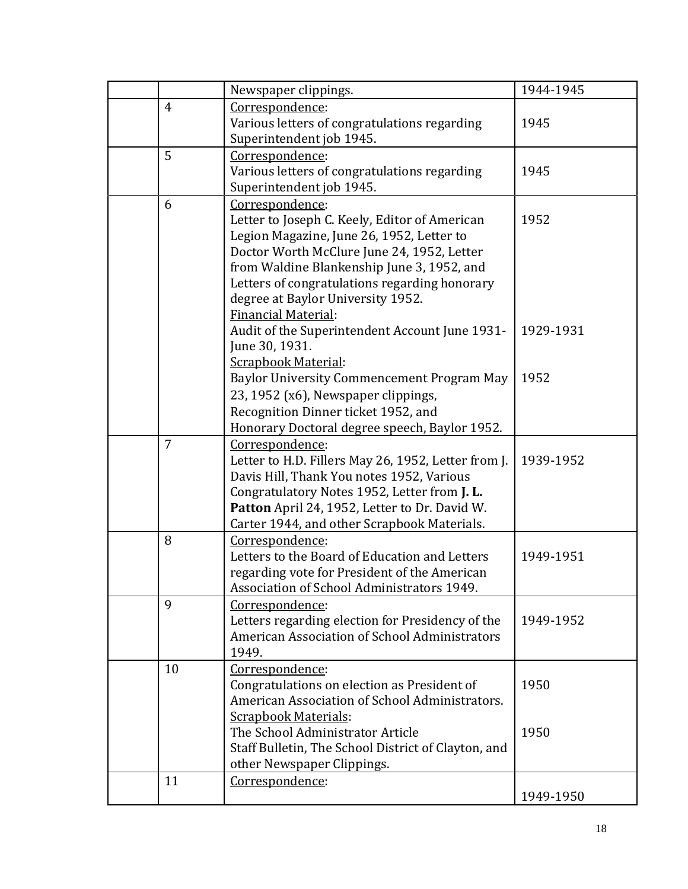|                | Newspaper clippings.                                                                                                                                                                                                                                                                                                          | 1944-1945    |
|----------------|-------------------------------------------------------------------------------------------------------------------------------------------------------------------------------------------------------------------------------------------------------------------------------------------------------------------------------|--------------|
| $\overline{4}$ | Correspondence:<br>Various letters of congratulations regarding                                                                                                                                                                                                                                                               | 1945         |
|                | Superintendent job 1945.                                                                                                                                                                                                                                                                                                      |              |
| 5              | Correspondence:<br>Various letters of congratulations regarding<br>Superintendent job 1945.                                                                                                                                                                                                                                   | 1945         |
| 6              | Correspondence:<br>Letter to Joseph C. Keely, Editor of American<br>Legion Magazine, June 26, 1952, Letter to<br>Doctor Worth McClure June 24, 1952, Letter<br>from Waldine Blankenship June 3, 1952, and<br>Letters of congratulations regarding honorary<br>degree at Baylor University 1952.<br><b>Financial Material:</b> | 1952         |
|                | Audit of the Superintendent Account June 1931-<br>June 30, 1931.<br><b>Scrapbook Material:</b>                                                                                                                                                                                                                                | 1929-1931    |
|                | Baylor University Commencement Program May<br>23, 1952 (x6), Newspaper clippings,<br>Recognition Dinner ticket 1952, and<br>Honorary Doctoral degree speech, Baylor 1952.                                                                                                                                                     | 1952         |
| $\overline{7}$ | Correspondence:<br>Letter to H.D. Fillers May 26, 1952, Letter from J.<br>Davis Hill, Thank You notes 1952, Various<br>Congratulatory Notes 1952, Letter from J. L.<br>Patton April 24, 1952, Letter to Dr. David W.<br>Carter 1944, and other Scrapbook Materials.                                                           | 1939-1952    |
| 8              | Correspondence:<br>Letters to the Board of Education and Letters<br>regarding vote for President of the American<br>Association of School Administrators 1949.                                                                                                                                                                | 1949-1951    |
| 9              | Correspondence:<br>Letters regarding election for Presidency of the<br>American Association of School Administrators<br>1949.                                                                                                                                                                                                 | 1949-1952    |
| 10             | Correspondence:<br>Congratulations on election as President of<br>American Association of School Administrators.<br><b>Scrapbook Materials:</b><br>The School Administrator Article<br>Staff Bulletin, The School District of Clayton, and<br>other Newspaper Clippings.                                                      | 1950<br>1950 |
| 11             | Correspondence:                                                                                                                                                                                                                                                                                                               | 1949-1950    |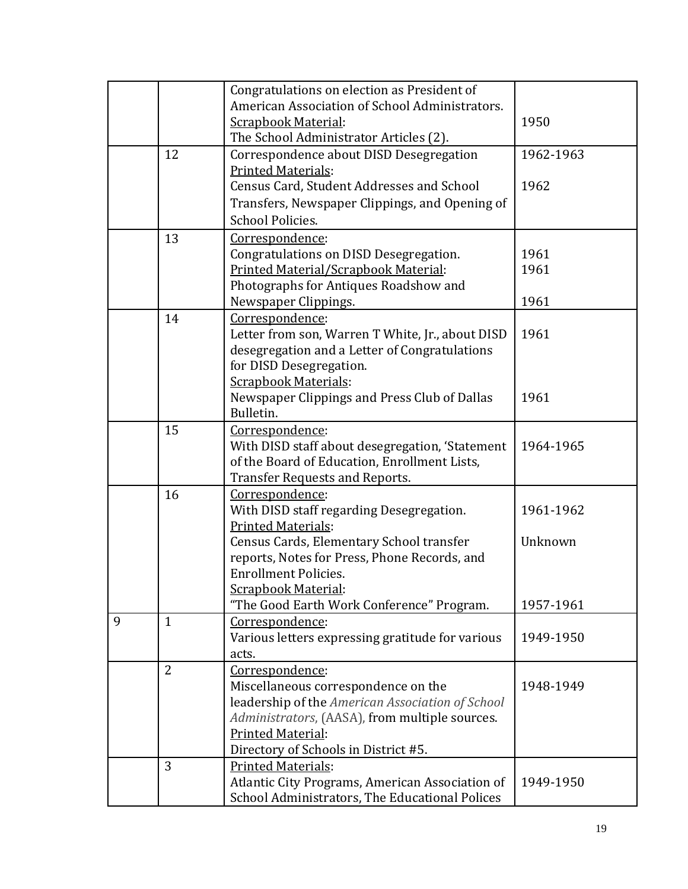|   |                | Congratulations on election as President of                                 |           |
|---|----------------|-----------------------------------------------------------------------------|-----------|
|   |                | American Association of School Administrators.                              |           |
|   |                | <b>Scrapbook Material:</b>                                                  | 1950      |
|   |                | The School Administrator Articles (2).                                      |           |
|   | 12             | Correspondence about DISD Desegregation                                     | 1962-1963 |
|   |                | <b>Printed Materials:</b>                                                   |           |
|   |                | <b>Census Card, Student Addresses and School</b>                            | 1962      |
|   |                | Transfers, Newspaper Clippings, and Opening of                              |           |
|   |                | <b>School Policies.</b>                                                     |           |
|   | 13             | Correspondence:                                                             |           |
|   |                | Congratulations on DISD Desegregation.                                      | 1961      |
|   |                | Printed Material/Scrapbook Material:                                        | 1961      |
|   |                | Photographs for Antiques Roadshow and                                       |           |
|   |                | Newspaper Clippings.                                                        | 1961      |
|   | 14             | Correspondence:                                                             |           |
|   |                | Letter from son, Warren T White, Jr., about DISD                            | 1961      |
|   |                | desegregation and a Letter of Congratulations                               |           |
|   |                | for DISD Desegregation.                                                     |           |
|   |                | <b>Scrapbook Materials:</b>                                                 |           |
|   |                | Newspaper Clippings and Press Club of Dallas                                | 1961      |
|   |                | Bulletin.                                                                   |           |
|   | 15             | Correspondence:                                                             |           |
|   |                | With DISD staff about desegregation, 'Statement                             | 1964-1965 |
|   |                | of the Board of Education, Enrollment Lists,                                |           |
|   |                | <b>Transfer Requests and Reports.</b>                                       |           |
|   | 16             | Correspondence:                                                             |           |
|   |                | With DISD staff regarding Desegregation.                                    | 1961-1962 |
|   |                | <b>Printed Materials:</b>                                                   |           |
|   |                | Census Cards, Elementary School transfer                                    | Unknown   |
|   |                | reports, Notes for Press, Phone Records, and<br><b>Enrollment Policies.</b> |           |
|   |                | <b>Scrapbook Material:</b>                                                  |           |
|   |                | "The Good Earth Work Conference" Program.                                   | 1957-1961 |
| 9 | $\mathbf{1}$   | Correspondence:                                                             |           |
|   |                | Various letters expressing gratitude for various                            | 1949-1950 |
|   |                | acts.                                                                       |           |
|   | $\overline{2}$ | Correspondence:                                                             |           |
|   |                | Miscellaneous correspondence on the                                         | 1948-1949 |
|   |                | leadership of the American Association of School                            |           |
|   |                | Administrators, (AASA), from multiple sources.                              |           |
|   |                | Printed Material:                                                           |           |
|   |                | Directory of Schools in District #5.                                        |           |
|   | 3              | <b>Printed Materials:</b>                                                   |           |
|   |                | Atlantic City Programs, American Association of                             | 1949-1950 |
|   |                | School Administrators, The Educational Polices                              |           |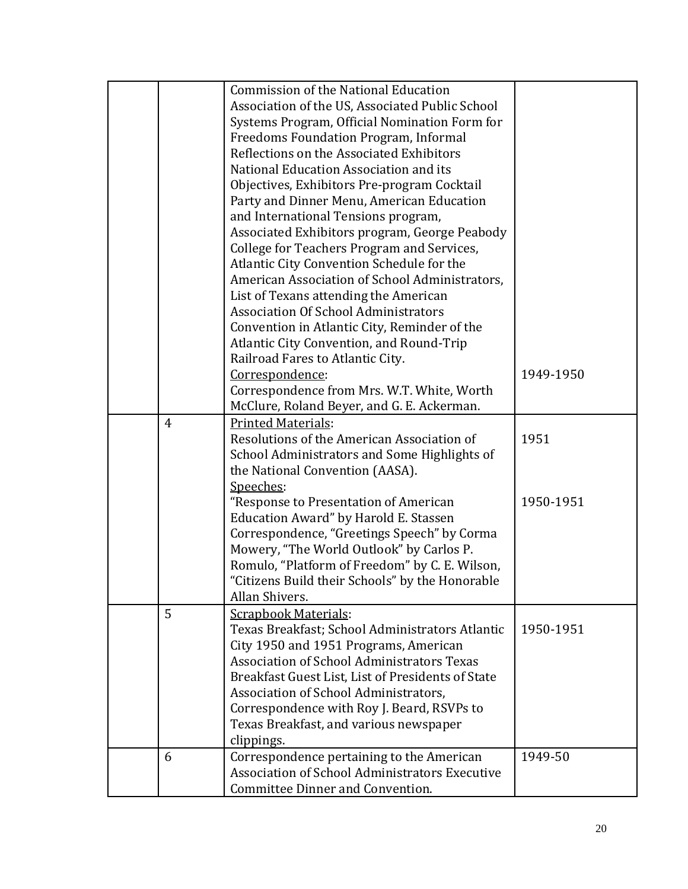|  |                | <b>Commission of the National Education</b><br>Association of the US, Associated Public School<br>Systems Program, Official Nomination Form for<br>Freedoms Foundation Program, Informal<br>Reflections on the Associated Exhibitors<br>National Education Association and its                                                                                                   |           |
|--|----------------|----------------------------------------------------------------------------------------------------------------------------------------------------------------------------------------------------------------------------------------------------------------------------------------------------------------------------------------------------------------------------------|-----------|
|  |                | Objectives, Exhibitors Pre-program Cocktail<br>Party and Dinner Menu, American Education<br>and International Tensions program,<br>Associated Exhibitors program, George Peabody<br>College for Teachers Program and Services,<br>Atlantic City Convention Schedule for the                                                                                                      |           |
|  |                | American Association of School Administrators,<br>List of Texans attending the American<br><b>Association Of School Administrators</b><br>Convention in Atlantic City, Reminder of the<br>Atlantic City Convention, and Round-Trip<br>Railroad Fares to Atlantic City.                                                                                                           |           |
|  |                | Correspondence:<br>Correspondence from Mrs. W.T. White, Worth<br>McClure, Roland Beyer, and G. E. Ackerman.                                                                                                                                                                                                                                                                      | 1949-1950 |
|  | $\overline{4}$ | <b>Printed Materials:</b><br>Resolutions of the American Association of<br>School Administrators and Some Highlights of<br>the National Convention (AASA).<br>Speeches:                                                                                                                                                                                                          | 1951      |
|  |                | "Response to Presentation of American<br>Education Award" by Harold E. Stassen<br>Correspondence, "Greetings Speech" by Corma<br>Mowery, "The World Outlook" by Carlos P.<br>Romulo, "Platform of Freedom" by C. E. Wilson,<br>"Citizens Build their Schools" by the Honorable<br>Allan Shivers.                                                                                 | 1950-1951 |
|  | 5              | <b>Scrapbook Materials:</b><br>Texas Breakfast; School Administrators Atlantic<br>City 1950 and 1951 Programs, American<br><b>Association of School Administrators Texas</b><br>Breakfast Guest List, List of Presidents of State<br>Association of School Administrators,<br>Correspondence with Roy J. Beard, RSVPs to<br>Texas Breakfast, and various newspaper<br>clippings. | 1950-1951 |
|  | 6              | Correspondence pertaining to the American<br><b>Association of School Administrators Executive</b><br>Committee Dinner and Convention.                                                                                                                                                                                                                                           | 1949-50   |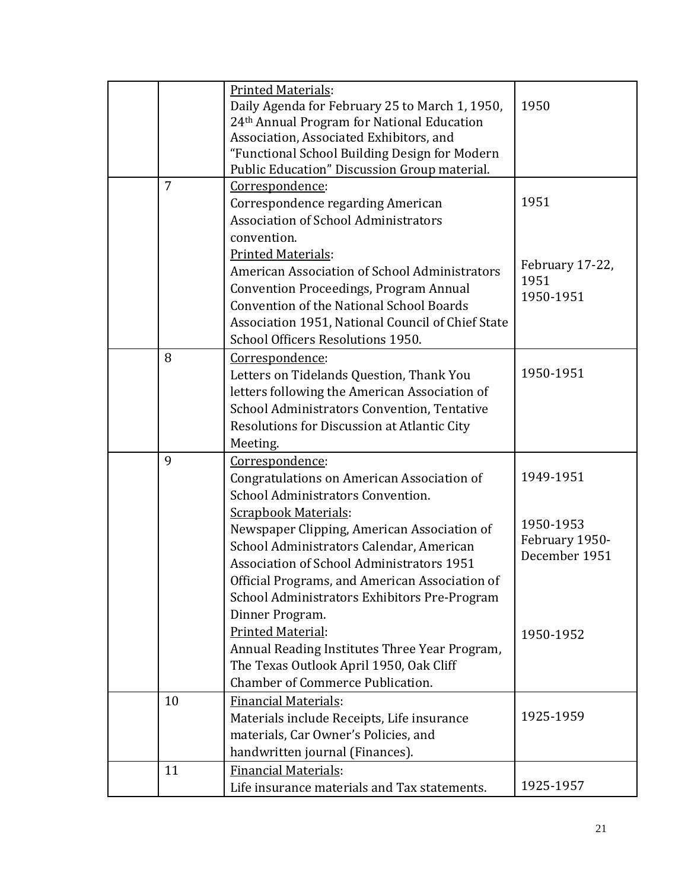|                | <b>Printed Materials:</b><br>Daily Agenda for February 25 to March 1, 1950, | 1950            |
|----------------|-----------------------------------------------------------------------------|-----------------|
|                | 24th Annual Program for National Education                                  |                 |
|                | Association, Associated Exhibitors, and                                     |                 |
|                | "Functional School Building Design for Modern                               |                 |
|                | Public Education" Discussion Group material.                                |                 |
| $\overline{7}$ | Correspondence:                                                             |                 |
|                | Correspondence regarding American                                           | 1951            |
|                | <b>Association of School Administrators</b>                                 |                 |
|                | convention.                                                                 |                 |
|                | <b>Printed Materials:</b>                                                   |                 |
|                | American Association of School Administrators                               | February 17-22, |
|                | <b>Convention Proceedings, Program Annual</b>                               | 1951            |
|                | <b>Convention of the National School Boards</b>                             | 1950-1951       |
|                | Association 1951, National Council of Chief State                           |                 |
|                | School Officers Resolutions 1950.                                           |                 |
| 8              | Correspondence:                                                             |                 |
|                | Letters on Tidelands Question, Thank You                                    | 1950-1951       |
|                | letters following the American Association of                               |                 |
|                | School Administrators Convention, Tentative                                 |                 |
|                | Resolutions for Discussion at Atlantic City                                 |                 |
|                | Meeting.                                                                    |                 |
| 9              | Correspondence:                                                             |                 |
|                | Congratulations on American Association of                                  | 1949-1951       |
|                | School Administrators Convention.                                           |                 |
|                | <b>Scrapbook Materials:</b>                                                 |                 |
|                | Newspaper Clipping, American Association of                                 | 1950-1953       |
|                | School Administrators Calendar, American                                    | February 1950-  |
|                | Association of School Administrators 1951                                   | December 1951   |
|                | Official Programs, and American Association of                              |                 |
|                | School Administrators Exhibitors Pre-Program                                |                 |
|                | Dinner Program.                                                             |                 |
|                | Printed Material:                                                           | 1950-1952       |
|                | Annual Reading Institutes Three Year Program,                               |                 |
|                | The Texas Outlook April 1950, Oak Cliff                                     |                 |
|                | <b>Chamber of Commerce Publication.</b>                                     |                 |
| 10             | <b>Financial Materials:</b>                                                 |                 |
|                | Materials include Receipts, Life insurance                                  | 1925-1959       |
|                | materials, Car Owner's Policies, and                                        |                 |
|                | handwritten journal (Finances).                                             |                 |
| 11             | <b>Financial Materials:</b>                                                 |                 |
|                | Life insurance materials and Tax statements.                                | 1925-1957       |